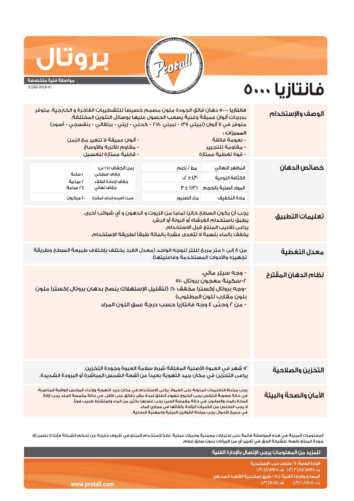

## QU

www.prot

## مواصفة فنية متخصصة

51260-2018-V1

## فانتازيا ٥٠٠٠

| الوصف والإستخدام      | المميزات:<br>- نعومة فائقة<br>- مقاومة للتجيير<br>- قوة تغطية ممتازة                                                                                                                                                                                                                                                                                                                                                                                             | فانتازيا ٥٠٠٠ دهان فائق الجودة ملون مصمم خصيصاً للتشطيبات الفاخرة و الخارجية. متوفر<br>بدرجات ألوان عميقة وغنية يصعب الحصول عليها بوسائل التلوين المختلفة.<br>متوفر في ٧ ألوان (نبيتي ١٣٧ - نبيتي ٢١٨٠ - كحلي - زيتي - برتقالي - بنفسجي - أسود) | - ألوان عميقة لا تتغير مع الزمن<br>- مقاوم للأتربة والأوساخ<br>- قابلية ممتازة للغسيل          |                                         |  |  |
|-----------------------|------------------------------------------------------------------------------------------------------------------------------------------------------------------------------------------------------------------------------------------------------------------------------------------------------------------------------------------------------------------------------------------------------------------------------------------------------------------|-------------------------------------------------------------------------------------------------------------------------------------------------------------------------------------------------------------------------------------------------|------------------------------------------------------------------------------------------------|-----------------------------------------|--|--|
| خصائص الدهان          | المظهر النهائي<br>الكثافة النوعية<br>المواد الصلبة بالحجم<br>مادة التخفيف                                                                                                                                                                                                                                                                                                                                                                                        | مط/ناعم<br>$\sqrt{f} \pm i.$ P<br>$P \pm \% P$ ገ<br>ماء الصنبور                                                                                                                                                                                 | زمن الجغاف (٢٥°س)<br>جفاف سطحى<br>جغاف لإعادة الطلاء<br>جغاف نهائي<br>سمك الغيلم الجاف المقترح | ا ساعة<br>ةحسا ٢<br>ةحساحة<br>٤٠ ميکرون |  |  |
| تعليمات التطبيق       | يجب أن يكون السطح خاليا تماما من الزيوت و الدهون و أي شوائب أخرى.<br>يطبق باستخدام الفرشاه أو الرولة أو الرش.<br>يراعى تقليب المنتج قبل الاستخدام.<br>يذفف بالماء بنسبة لا تتعدى عشرة بالمائة طبقاً لطريقة الإستخدام.                                                                                                                                                                                                                                            |                                                                                                                                                                                                                                                 |                                                                                                |                                         |  |  |
| معدل التغطية          | من ٨ إلى ١٠ متر مربحَ لللتر للوجه الواحد (معدل الفرد يختلف بإختلاف طبيعة السطح وطريقة<br>تجهيزه والأدوات المستخدمة وفاعليتها).                                                                                                                                                                                                                                                                                                                                   |                                                                                                                                                                                                                                                 |                                                                                                |                                         |  |  |
| نظام الدهان المقترح   | - وجه سيلر مائں.<br>٠-سكينة معجون بروتال ٥١٠<br>-وجه بروتال إكسترا مخفف ١٠٪ (لتقليل الإستهلاك ينصح بدهان بروتال إكسترا ملون<br>بلون مقارب للون المطلوب)<br>- من ٢ وحتى ٤ وجه فانتازيا حسب درجة عمق اللون المراد                                                                                                                                                                                                                                                  |                                                                                                                                                                                                                                                 |                                                                                                |                                         |  |  |
| التخزين والصلاحية     |                                                                                                                                                                                                                                                                                                                                                                                                                                                                  | ١٢ شهر في العبوة الأصلية المغلقة شرط سلامة العبوة وجودة التخزين.<br>يراعى التخزين في مكان جيد التهوية بعيداً عن أشعة الشمس المباشرة أو البرودة الشديدة.                                                                                         |                                                                                                |                                         |  |  |
| الأمان والصحة والبيئة | يجب مراعاة التعليمات المدونة على العبوة. يراعى الإستخدام فى مكان جيد التهوية وإرتداء الملابس الواقية المناسبة.<br>فى حالة صعوبة التنفس يجب الخروج للهواء الطلق لمدة عشر دقائق على الأقل. فى حالة ملامسة الجلد يجب إزالة<br>المادة بالماء والصابون. في حالة ملامسة العين يجب غسلها بكثير من الماء وإستشارة طبيب فوراً.<br>لا يجب التخلص من الكميات الزائدة بإلقائها فى محارى الماء.<br>في حميــــ الأحــوال بحــب مـراعاة القـوانيين البيــئية والمهنية المحـلية. |                                                                                                                                                                                                                                                 |                                                                                                |                                         |  |  |

المعلومات المبينة فى هذه المواصفة قائمة على إختبارات معملية وخبرات عملية. نظراً لإستخدام المنتج فى ظروف خارجة عن تحكم الشركة فإننا لا نضمن إلا جودة المنتج نفسه. للشركة الحق في تغيير أي من البيانات بدون سابق إعلام.

|         | اللمزيد من المعلومات يرجى الإتصال بالإدارة الفنية                |  |
|---------|------------------------------------------------------------------|--|
|         | الادارة العامة؛ ٢٧ طلعت حرب الاسكندرية                           |  |
|         | ت: ٥٣٥/٢٨٦٨٩٢٥/٣ (٣٠) ف: ٤٨٦/٩٢٥ (٣٠)                            |  |
|         | ً المصانعَ والإدارة الفنية؛ ك٥٥ طريق إسكندرية القاهرة الصحراوى ا |  |
| all.com | , ت:، ۲۰/۱۱۰٬۱۶۷٬۱۱۱٬ (۳۰) هـ ، ۱۶۷۰٬۱۱۶۱ (۳۰) ا                 |  |